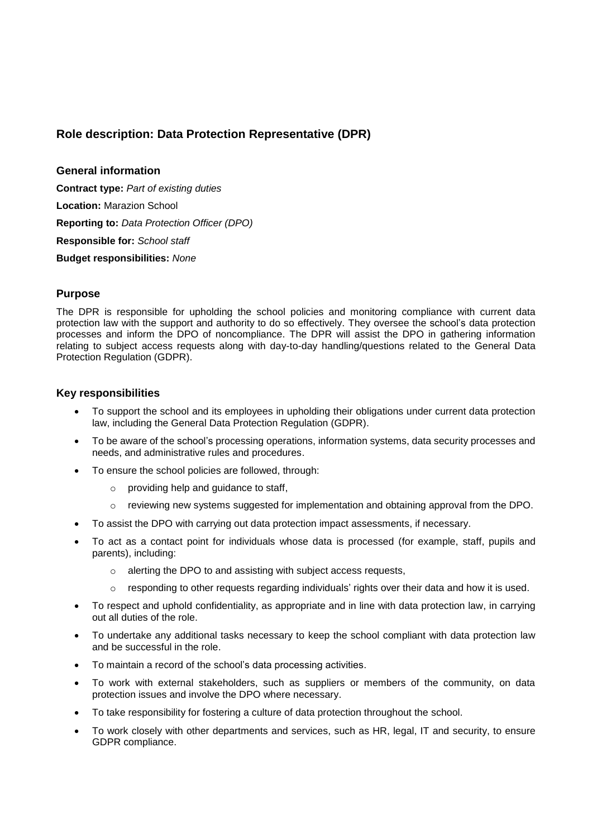## **Role description: Data Protection Representative (DPR)**

**General information**

**Contract type:** *Part of existing duties* **Location:** Marazion School **Reporting to:** *Data Protection Officer (DPO)* **Responsible for:** *School staff* **Budget responsibilities:** *None*

## **Purpose**

The DPR is responsible for upholding the school policies and monitoring compliance with current data protection law with the support and authority to do so effectively. They oversee the school's data protection processes and inform the DPO of noncompliance. The DPR will assist the DPO in gathering information relating to subject access requests along with day-to-day handling/questions related to the General Data Protection Regulation (GDPR).

## **Key responsibilities**

- To support the school and its employees in upholding their obligations under current data protection law, including the General Data Protection Regulation (GDPR).
- To be aware of the school's processing operations, information systems, data security processes and needs, and administrative rules and procedures.
- To ensure the school policies are followed, through:
	- o providing help and guidance to staff,
	- o reviewing new systems suggested for implementation and obtaining approval from the DPO.
- To assist the DPO with carrying out data protection impact assessments, if necessary.
- To act as a contact point for individuals whose data is processed (for example, staff, pupils and parents), including:
	- o alerting the DPO to and assisting with subject access requests,
	- $\circ$  responding to other requests regarding individuals' rights over their data and how it is used.
- To respect and uphold confidentiality, as appropriate and in line with data protection law, in carrying out all duties of the role.
- To undertake any additional tasks necessary to keep the school compliant with data protection law and be successful in the role.
- To maintain a record of the school's data processing activities.
- To work with external stakeholders, such as suppliers or members of the community, on data protection issues and involve the DPO where necessary.
- To take responsibility for fostering a culture of data protection throughout the school.
- To work closely with other departments and services, such as HR, legal, IT and security, to ensure GDPR compliance.